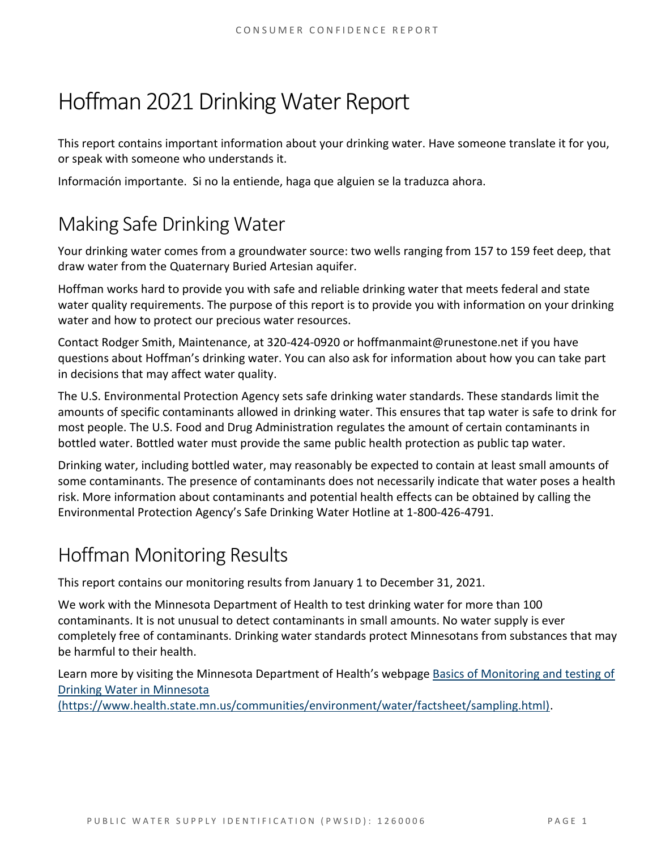# Hoffman 2021Drinking Water Report

This report contains important information about your drinking water. Have someone translate it for you, or speak with someone who understands it.

Información importante. Si no la entiende, haga que alguien se la traduzca ahora.

# Making Safe Drinking Water

Your drinking water comes from a groundwater source: two wells ranging from 157 to 159 feet deep, that draw water from the Quaternary Buried Artesian aquifer.

Hoffman works hard to provide you with safe and reliable drinking water that meets federal and state water quality requirements. The purpose of this report is to provide you with information on your drinking water and how to protect our precious water resources.

Contact Rodger Smith, Maintenance, at 320-424-0920 or hoffmanmaint@runestone.net if you have questions about Hoffman's drinking water. You can also ask for information about how you can take part in decisions that may affect water quality.

The U.S. Environmental Protection Agency sets safe drinking water standards. These standards limit the amounts of specific contaminants allowed in drinking water. This ensures that tap water is safe to drink for most people. The U.S. Food and Drug Administration regulates the amount of certain contaminants in bottled water. Bottled water must provide the same public health protection as public tap water.

Drinking water, including bottled water, may reasonably be expected to contain at least small amounts of some contaminants. The presence of contaminants does not necessarily indicate that water poses a health risk. More information about contaminants and potential health effects can be obtained by calling the Environmental Protection Agency's Safe Drinking Water Hotline at 1-800-426-4791.

# Hoffman Monitoring Results

This report contains our monitoring results from January 1 to December 31, 2021.

We work with the Minnesota Department of Health to test drinking water for more than 100 contaminants. It is not unusual to detect contaminants in small amounts. No water supply is ever completely free of contaminants. Drinking water standards protect Minnesotans from substances that may be harmful to their health.

Learn more by visiting the Minnesota Department of Health's webpage [Basics of Monitoring and testing of](https://www.health.state.mn.us/communities/environment/water/factsheet/sampling.html)  [Drinking Water in Minnesota](https://www.health.state.mn.us/communities/environment/water/factsheet/sampling.html) 

[\(https://www.health.state.mn.us/communities/environment/water/factsheet/sampling.html\).](https://www.health.state.mn.us/communities/environment/water/factsheet/sampling.html)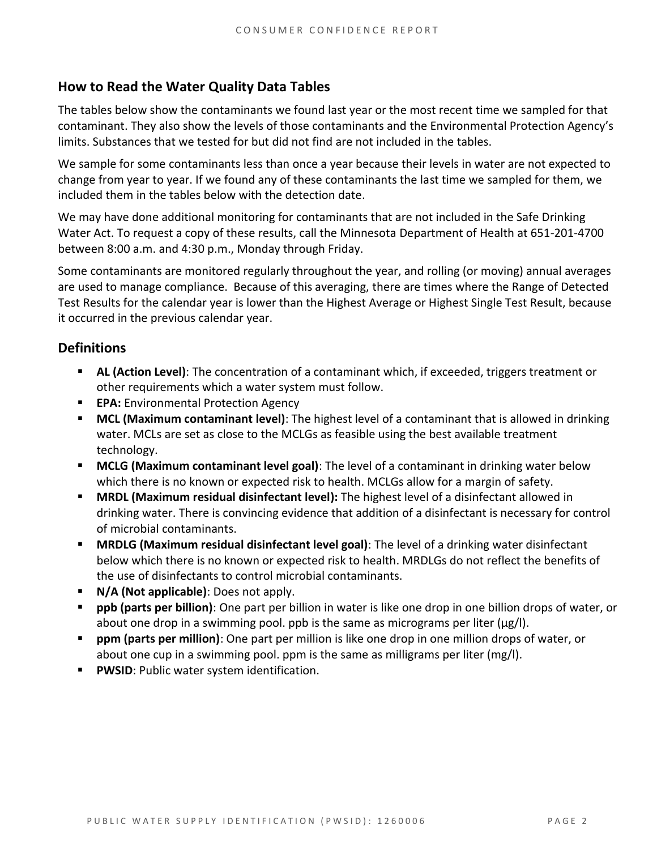# **How to Read the Water Quality Data Tables**

The tables below show the contaminants we found last year or the most recent time we sampled for that contaminant. They also show the levels of those contaminants and the Environmental Protection Agency's limits. Substances that we tested for but did not find are not included in the tables.

We sample for some contaminants less than once a year because their levels in water are not expected to change from year to year. If we found any of these contaminants the last time we sampled for them, we included them in the tables below with the detection date.

We may have done additional monitoring for contaminants that are not included in the Safe Drinking Water Act. To request a copy of these results, call the Minnesota Department of Health at 651-201-4700 between 8:00 a.m. and 4:30 p.m., Monday through Friday.

Some contaminants are monitored regularly throughout the year, and rolling (or moving) annual averages are used to manage compliance. Because of this averaging, there are times where the Range of Detected Test Results for the calendar year is lower than the Highest Average or Highest Single Test Result, because it occurred in the previous calendar year.

# **Definitions**

- AL (Action Level): The concentration of a contaminant which, if exceeded, triggers treatment or other requirements which a water system must follow.
- **EPA:** Environmental Protection Agency
- **MCL (Maximum contaminant level)**: The highest level of a contaminant that is allowed in drinking water. MCLs are set as close to the MCLGs as feasible using the best available treatment technology.
- **EXTED MCLG (Maximum contaminant level goal)**: The level of a contaminant in drinking water below which there is no known or expected risk to health. MCLGs allow for a margin of safety.
- **MRDL (Maximum residual disinfectant level):** The highest level of a disinfectant allowed in drinking water. There is convincing evidence that addition of a disinfectant is necessary for control of microbial contaminants.
- **MRDLG (Maximum residual disinfectant level goal)**: The level of a drinking water disinfectant below which there is no known or expected risk to health. MRDLGs do not reflect the benefits of the use of disinfectants to control microbial contaminants.
- **N/A (Not applicable)**: Does not apply.
- **ppb (parts per billion)**: One part per billion in water is like one drop in one billion drops of water, or about one drop in a swimming pool. ppb is the same as micrograms per liter ( $\mu$ g/l).
- **ppm (parts per million)**: One part per million is like one drop in one million drops of water, or about one cup in a swimming pool. ppm is the same as milligrams per liter (mg/l).
- **PWSID: Public water system identification.**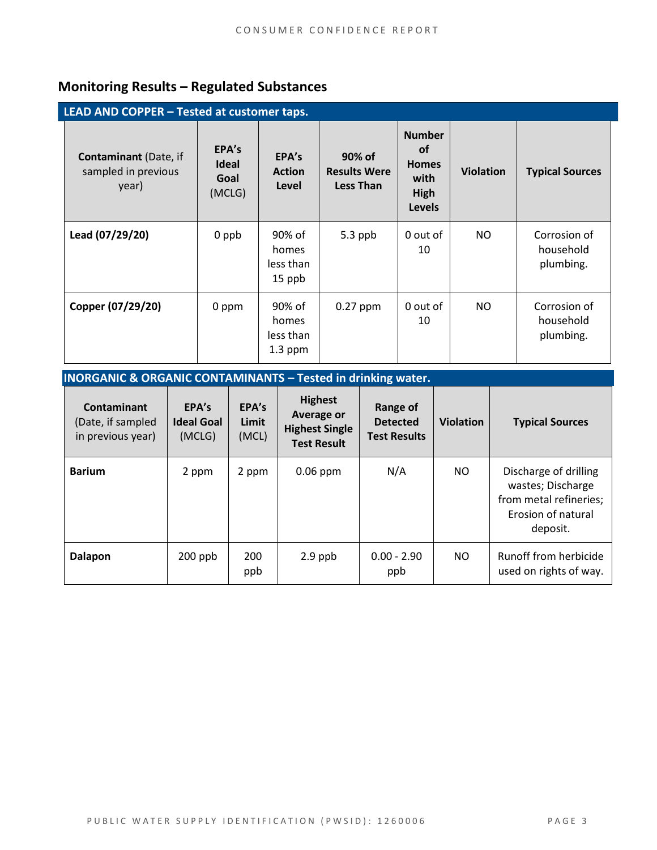# **Monitoring Results – Regulated Substances**

| LEAD AND COPPER - Tested at customer taps.                   |                                         |                                           |                                                   |                                                                             |                  |                                        |
|--------------------------------------------------------------|-----------------------------------------|-------------------------------------------|---------------------------------------------------|-----------------------------------------------------------------------------|------------------|----------------------------------------|
| <b>Contaminant</b> (Date, if<br>sampled in previous<br>year) | EPA's<br><b>Ideal</b><br>Goal<br>(MCLG) | EPA's<br><b>Action</b><br>Level           | 90% of<br><b>Results Were</b><br><b>Less Than</b> | <b>Number</b><br><b>of</b><br><b>Homes</b><br>with<br>High<br><b>Levels</b> | <b>Violation</b> | <b>Typical Sources</b>                 |
| Lead (07/29/20)                                              | 0 ppb                                   | 90% of<br>homes<br>less than<br>15 ppb    | 5.3 ppb                                           | 0 out of<br>10                                                              | NO               | Corrosion of<br>household<br>plumbing. |
| Copper (07/29/20)                                            | 0 ppm                                   | 90% of<br>homes<br>less than<br>$1.3$ ppm | $0.27$ ppm                                        | 0 out of<br>10                                                              | NO.              | Corrosion of<br>household<br>plumbing. |

### **INORGANIC & ORGANIC CONTAMINANTS – Tested in drinking water.**

| Contaminant<br>(Date, if sampled<br>in previous year) | EPA's<br><b>Ideal Goal</b><br>(MCLG) | EPA's<br>Limit<br>(MCL) | <b>Highest</b><br>Average or<br><b>Highest Single</b><br><b>Test Result</b> | Range of<br><b>Detected</b><br><b>Test Results</b> | <b>Violation</b> | <b>Typical Sources</b>                                                                                 |
|-------------------------------------------------------|--------------------------------------|-------------------------|-----------------------------------------------------------------------------|----------------------------------------------------|------------------|--------------------------------------------------------------------------------------------------------|
| <b>Barium</b>                                         | 2 ppm                                | 2 ppm                   | $0.06$ ppm                                                                  | N/A                                                | NO.              | Discharge of drilling<br>wastes; Discharge<br>from metal refineries;<br>Erosion of natural<br>deposit. |
| Dalapon                                               | $200$ ppb                            | 200<br>ppb              | $2.9$ ppb                                                                   | $0.00 - 2.90$<br>ppb                               | <b>NO</b>        | Runoff from herbicide<br>used on rights of way.                                                        |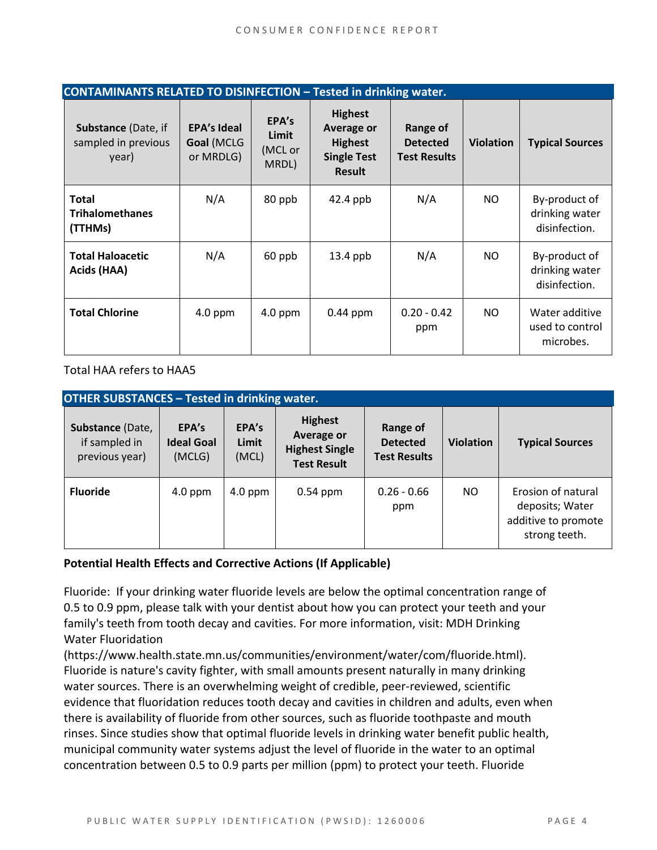| <b>CONTAMINANTS RELATED TO DISINFECTION - Tested in drinking water.</b> |                                               |                                    |                                                                                              |                                                    |                  |                                                  |
|-------------------------------------------------------------------------|-----------------------------------------------|------------------------------------|----------------------------------------------------------------------------------------------|----------------------------------------------------|------------------|--------------------------------------------------|
| <b>Substance (Date, if</b><br>sampled in previous<br>year)              | <b>EPA's Ideal</b><br>Goal (MCLG<br>or MRDLG) | EPA's<br>Limit<br>(MCL or<br>MRDL) | <b>Highest</b><br><b>Average or</b><br><b>Highest</b><br><b>Single Test</b><br><b>Result</b> | Range of<br><b>Detected</b><br><b>Test Results</b> | <b>Violation</b> | <b>Typical Sources</b>                           |
| <b>Total</b><br><b>Trihalomethanes</b><br>(TTHMs)                       | N/A                                           | 80 ppb                             | 42.4 ppb                                                                                     | N/A                                                | NO.              | By-product of<br>drinking water<br>disinfection. |
| <b>Total Haloacetic</b><br>Acids (HAA)                                  | N/A                                           | 60 ppb                             | $13.4$ ppb                                                                                   | N/A                                                | NO.              | By-product of<br>drinking water<br>disinfection. |
| <b>Total Chlorine</b>                                                   | $4.0$ ppm                                     | $4.0$ ppm                          | $0.44$ ppm                                                                                   | $0.20 - 0.42$<br>ppm                               | NO.              | Water additive<br>used to control<br>microbes.   |

Total HAA refers to HAA5

| <b>OTHER SUBSTANCES - Tested in drinking water.</b> |                                      |                         |                                                                                    |                                                    |                  |                                                                               |  |
|-----------------------------------------------------|--------------------------------------|-------------------------|------------------------------------------------------------------------------------|----------------------------------------------------|------------------|-------------------------------------------------------------------------------|--|
| Substance (Date,<br>if sampled in<br>previous year) | EPA's<br><b>Ideal Goal</b><br>(MCLG) | EPA's<br>Limit<br>(MCL) | <b>Highest</b><br><b>Average or</b><br><b>Highest Single</b><br><b>Test Result</b> | Range of<br><b>Detected</b><br><b>Test Results</b> | <b>Violation</b> | <b>Typical Sources</b>                                                        |  |
| <b>Fluoride</b>                                     | $4.0$ ppm                            | $4.0$ ppm               | $0.54$ ppm                                                                         | $0.26 - 0.66$<br>ppm                               | NO.              | Erosion of natural<br>deposits; Water<br>additive to promote<br>strong teeth. |  |

#### **Potential Health Effects and Corrective Actions (If Applicable)**

Fluoride: If your drinking water fluoride levels are below the optimal concentration range of 0.5 to 0.9 ppm, please talk with your dentist about how you can protect your teeth and your family's teeth from tooth decay and cavities. For more information, visit: MDH Drinking Water Fluoridation

(https://www.health.state.mn.us/communities/environment/water/com/fluoride.html). Fluoride is nature's cavity fighter, with small amounts present naturally in many drinking water sources. There is an overwhelming weight of credible, peer-reviewed, scientific evidence that fluoridation reduces tooth decay and cavities in children and adults, even when there is availability of fluoride from other sources, such as fluoride toothpaste and mouth rinses. Since studies show that optimal fluoride levels in drinking water benefit public health, municipal community water systems adjust the level of fluoride in the water to an optimal concentration between 0.5 to 0.9 parts per million (ppm) to protect your teeth. Fluoride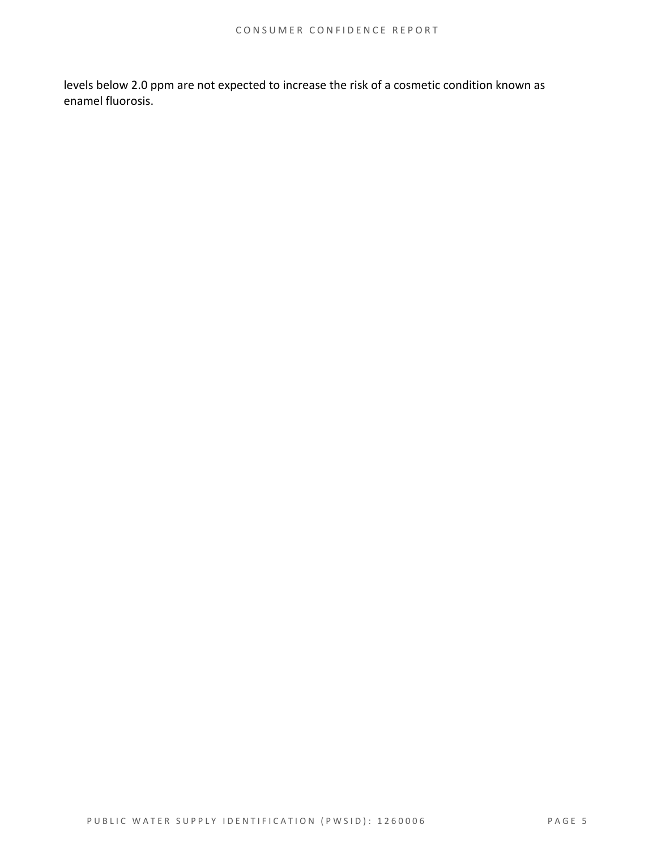levels below 2.0 ppm are not expected to increase the risk of a cosmetic condition known as enamel fluorosis.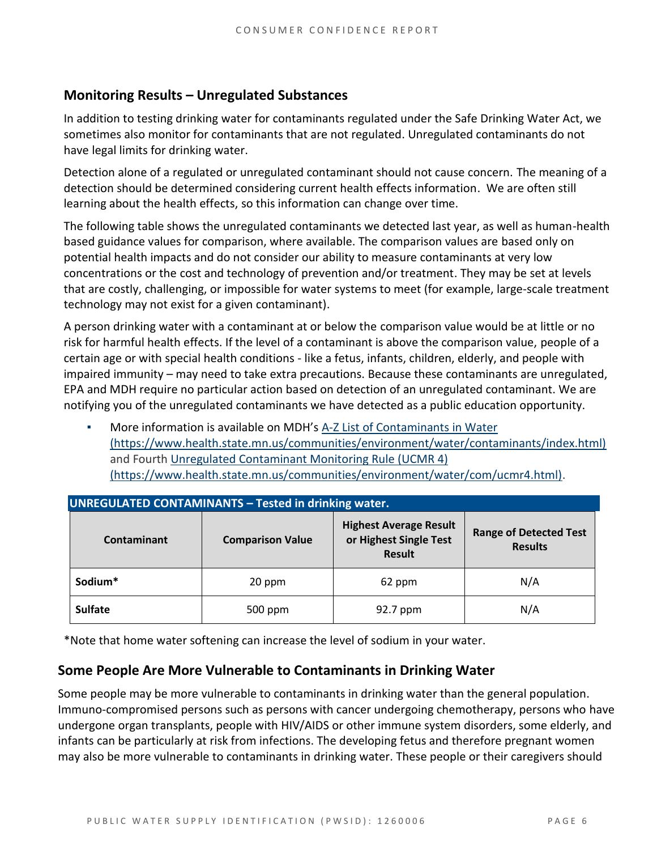# **Monitoring Results – Unregulated Substances**

In addition to testing drinking water for contaminants regulated under the Safe Drinking Water Act, we sometimes also monitor for contaminants that are not regulated. Unregulated contaminants do not have legal limits for drinking water.

Detection alone of a regulated or unregulated contaminant should not cause concern. The meaning of a detection should be determined considering current health effects information. We are often still learning about the health effects, so this information can change over time.

The following table shows the unregulated contaminants we detected last year, as well as human-health based guidance values for comparison, where available. The comparison values are based only on potential health impacts and do not consider our ability to measure contaminants at very low concentrations or the cost and technology of prevention and/or treatment. They may be set at levels that are costly, challenging, or impossible for water systems to meet (for example, large-scale treatment technology may not exist for a given contaminant).

A person drinking water with a contaminant at or below the comparison value would be at little or no risk for harmful health effects. If the level of a contaminant is above the comparison value, people of a certain age or with special health conditions - like a fetus, infants, children, elderly, and people with impaired immunity – may need to take extra precautions. Because these contaminants are unregulated, EPA and MDH require no particular action based on detection of an unregulated contaminant. We are notifying you of the unregulated contaminants we have detected as a public education opportunity.

More information is available on MDH's A-Z List of Contaminants in Water [\(https://www.health.state.mn.us/communities/environment/water/contaminants/index.html\)](https://www.health.state.mn.us/communities/environment/water/contaminants/index.html) and Fourth [Unregulated Contaminant Monitoring Rule \(UCMR 4\)](https://www.health.state.mn.us/communities/environment/water/com/ucmr4.html)  [\(https://www.health.state.mn.us/communities/environment/water/com/ucmr4.html\).](https://www.health.state.mn.us/communities/environment/water/com/ucmr4.html)

| <b>UNREGULATED CONTAMINANTS - Tested in drinking water.</b> |                         |                                                                          |                                                 |  |  |  |  |
|-------------------------------------------------------------|-------------------------|--------------------------------------------------------------------------|-------------------------------------------------|--|--|--|--|
| Contaminant                                                 | <b>Comparison Value</b> | <b>Highest Average Result</b><br>or Highest Single Test<br><b>Result</b> | <b>Range of Detected Test</b><br><b>Results</b> |  |  |  |  |
| Sodium*                                                     | 20 ppm                  |                                                                          | N/A                                             |  |  |  |  |
| <b>Sulfate</b>                                              | 500 ppm                 | 92.7 ppm                                                                 | N/A                                             |  |  |  |  |

\*Note that home water softening can increase the level of sodium in your water.

### **Some People Are More Vulnerable to Contaminants in Drinking Water**

Some people may be more vulnerable to contaminants in drinking water than the general population. Immuno-compromised persons such as persons with cancer undergoing chemotherapy, persons who have undergone organ transplants, people with HIV/AIDS or other immune system disorders, some elderly, and infants can be particularly at risk from infections. The developing fetus and therefore pregnant women may also be more vulnerable to contaminants in drinking water. These people or their caregivers should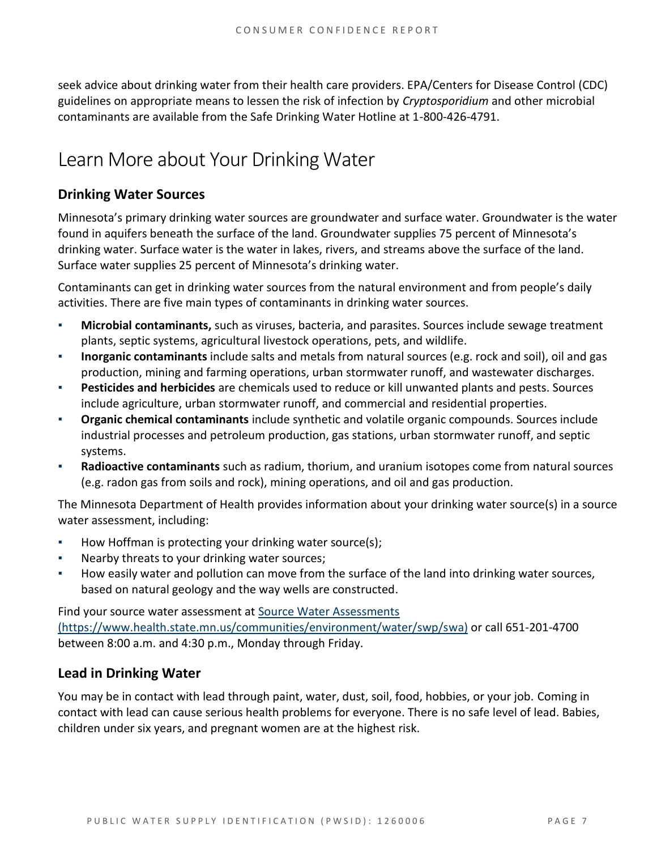seek advice about drinking water from their health care providers. EPA/Centers for Disease Control (CDC) guidelines on appropriate means to lessen the risk of infection by *Cryptosporidium* and other microbial contaminants are available from the Safe Drinking Water Hotline at 1-800-426-4791.

# Learn More about Your Drinking Water

# **Drinking Water Sources**

Minnesota's primary drinking water sources are groundwater and surface water. Groundwater is the water found in aquifers beneath the surface of the land. Groundwater supplies 75 percent of Minnesota's drinking water. Surface water is the water in lakes, rivers, and streams above the surface of the land. Surface water supplies 25 percent of Minnesota's drinking water.

Contaminants can get in drinking water sources from the natural environment and from people's daily activities. There are five main types of contaminants in drinking water sources.

- **Microbial contaminants,** such as viruses, bacteria, and parasites. Sources include sewage treatment plants, septic systems, agricultural livestock operations, pets, and wildlife.
- **Inorganic contaminants** include salts and metals from natural sources (e.g. rock and soil), oil and gas production, mining and farming operations, urban stormwater runoff, and wastewater discharges.
- **Pesticides and herbicides** are chemicals used to reduce or kill unwanted plants and pests. Sources include agriculture, urban stormwater runoff, and commercial and residential properties.
- **Organic chemical contaminants** include synthetic and volatile organic compounds. Sources include industrial processes and petroleum production, gas stations, urban stormwater runoff, and septic systems.
- **Radioactive contaminants** such as radium, thorium, and uranium isotopes come from natural sources (e.g. radon gas from soils and rock), mining operations, and oil and gas production.

The Minnesota Department of Health provides information about your drinking water source(s) in a source water assessment, including:

- How Hoffman is protecting your drinking water source(s);
- Nearby threats to your drinking water sources;
- How easily water and pollution can move from the surface of the land into drinking water sources, based on natural geology and the way wells are constructed.

Find your source water assessment at Source Water Assessments [\(https://www.health.state.mn.us/communities/environment/water/swp/swa\)](https://www.health.state.mn.us/communities/environment/water/swp/swa) or call 651-201-4700 between 8:00 a.m. and 4:30 p.m., Monday through Friday.

# **Lead in Drinking Water**

You may be in contact with lead through paint, water, dust, soil, food, hobbies, or your job. Coming in contact with lead can cause serious health problems for everyone. There is no safe level of lead. Babies, children under six years, and pregnant women are at the highest risk.